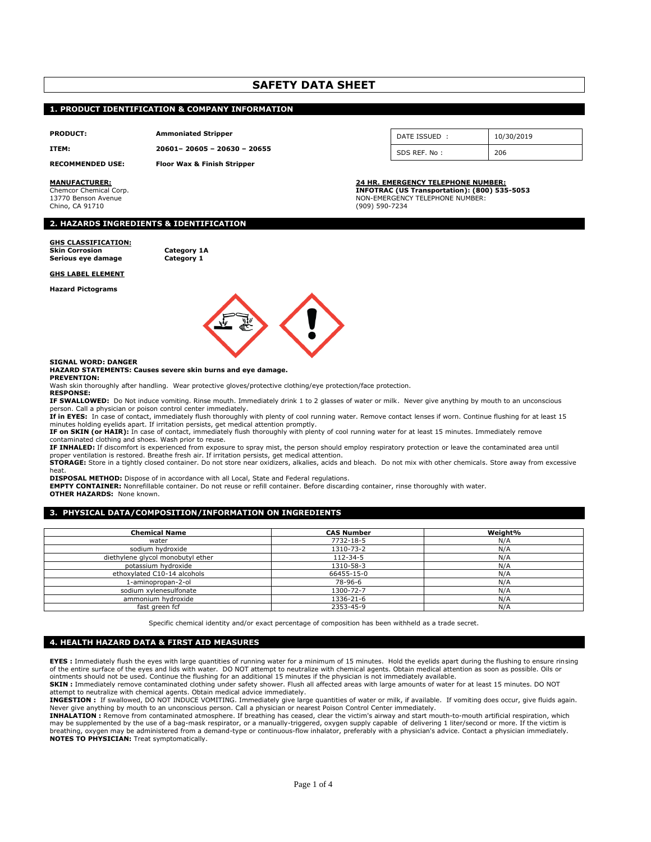# **SAFETY DATA SHEET**

#### **1. PRODUCT IDENTIFICATION & COMPANY INFORMATION**

**PRODUCT: Ammoniated Stripper**

**ITEM: 20601– 20605 – 20630 – 20655**

**RECOMMENDED USE: Floor Wax & Finish Stripper**

Chino, CA 91710 (909) 590-7234

| DATE ISSUED: | 10/30/2019 |
|--------------|------------|
| SDS REF. No: |            |

**MANUFACTURER: 24 HR. EMERGENCY TELEPHONE NUMBER:** Chemcor Chemical Corp. **INFOTRAC (US Transportation): (800) 535-5053** NON-EMERGENCY TELEPHONE NUMBER:

#### **2. HAZARDS INGREDIENTS & IDENTIFICATION**

#### **GHS CLASSIFICATION:**

**Skin Corrosion Category 1A Serious** eye damage

#### **GHS LABEL ELEMENT**

**Hazard Pictograms**



#### **SIGNAL WORD: DANGER**

#### **HAZARD STATEMENTS: Causes severe skin burns and eye damage. PREVENTION:**

Wash skin thoroughly after handling. Wear protective gloves/protective clothing/eye protection/face protection.

**RESPONSE:**

**IF SWALLOWED:** Do Not induce vomiting. Rinse mouth. Immediately drink 1 to 2 glasses of water or milk. Never give anything by mouth to an unconscious person. Call a physician or poison control center immediately.<br>**If in EYES:** In case of contact, immediately flush thoroughly with plenty of cool running water. Remove contact lenses if worn. Continue flushing for at least

minutes holding eyelids apart. If irritation persists, get medical attention promptly.

**IF on SKIN (or HAIR):** In case of contact, immediately flush thoroughly with plenty of cool running water for at least 15 minutes. Immediately remove contaminated clothing and shoes. Wash prior to reuse.

**IF INHALED:** If discomfort is experienced from exposure to spray mist, the person should employ respiratory protection or leave the contaminated area until proper ventilation is restored. Breathe fresh air. If irritation persists, get medical attention.

**STORAGE:** Store in a tightly closed container. Do not store near oxidizers, alkalies, acids and bleach. Do not mix with other chemicals. Store away from excessive heat.

**DISPOSAL METHOD:** Dispose of in accordance with all Local, State and Federal regulations.

**EMPTY CONTAINER:** Nonrefillable container. Do not reuse or refill container. Before discarding container, rinse thoroughly with water. **OTHER HAZARDS: None known.** 

#### **3. PHYSICAL DATA/COMPOSITION/INFORMATION ON INGREDIENTS**

| <b>Chemical Name</b>              | <b>CAS Number</b> | Weight% |
|-----------------------------------|-------------------|---------|
| water                             | 7732-18-5         | N/A     |
| sodium hydroxide                  | 1310-73-2         | N/A     |
| diethylene glycol monobutyl ether | 112-34-5          | N/A     |
| potassium hydroxide               | 1310-58-3         | N/A     |
| ethoxylated C10-14 alcohols       | 66455-15-0        | N/A     |
| 1-aminopropan-2-ol                | 78-96-6           | N/A     |
| sodium xvlenesulfonate            | 1300-72-7         | N/A     |
| ammonium hydroxide                | 1336-21-6         | N/A     |
| fast green fcf                    | 2353-45-9         | N/A     |

Specific chemical identity and/or exact percentage of composition has been withheld as a trade secret.

#### **4. HEALTH HAZARD DATA & FIRST AID MEASURES**

**EYES :** Immediately flush the eyes with large quantities of running water for a minimum of 15 minutes. Hold the eyelids apart during the flushing to ensure rinsing of the entire surface of the eyes and lids with water. DO NOT attempt to neutralize with chemical agents. Obtain medical attention as soon as possible. Oils or ointments should not be used. Continue the flushing for an additional 15 minutes if the physician is not immediately available.

**SKIN :** Immediately remove contaminated clothing under safety shower. Flush all affected areas with large amounts of water for at least 15 minutes. DO NOT

attempt to neutralize with chemical agents. Obtain medical advice immediately.<br>**INGESTION** ± If swallowed, DO NOT INDUCE VOMITING. Immediately give large quantities of water or milk, if available. If vomiting does occur, g

**INHALATION :** Remove from contaminated atmosphere. If breathing has ceased, clear the victim's airway and start mouth-to-mouth artificial respiration, which may be supplemented by the use of a bag-mask respirator, or a manually-triggered, oxygen supply capable of delivering 1 liter/second or more. If the victim is breathing, oxygen may be administered from a demand-type or continuous-flow inhalator, preferably with a physician's advice. Contact a physician immediately. **NOTES TO PHYSICIAN:** Treat symptomatically.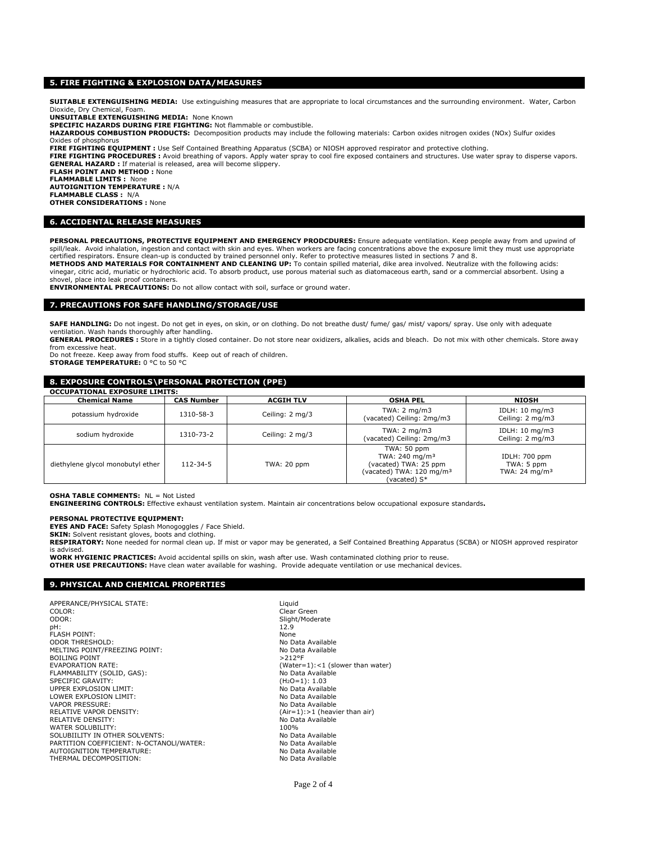#### **5. FIRE FIGHTING & EXPLOSION DATA/MEASURES**

**SUITABLE EXTENGUISHING MEDIA:** Use extinguishing measures that are appropriate to local circumstances and the surrounding environment. Water, Carbon Dioxide, Dry Chemical, Foam.

**UNSUITABLE EXTENGUISHING MEDIA:** None Known

**SPECIFIC HAZARDS DURING FIRE FIGHTING:** Not flammable or combustible.

HAZARDOUS COMBUSTION PRODUCTS: Decomposition products may include the following materials: Carbon oxides nitrogen oxides (NOx) Sulfur oxides Oxides of phosphorus

**FIRE FIGHTING EQUIPMENT :** Use Self Contained Breathing Apparatus (SCBA) or NIOSH approved respirator and protective clothing.

FIRE FIGHTING PROCEDURES : Avoid breathing of vapors. Apply water spray to cool fire exposed containers and structures. Use water spray to disperse vapors. **GENERAL HAZARD :** If material is released, area will become slippery. **FLASH POINT AND METHOD :** None

**FLAMMABLE LIMITS :** None

**AUTOIGNITION TEMPERATURE :** N/A

**FLAMMABLE CLASS :** N/A **OTHER CONSIDERATIONS :** None

#### **6. ACCIDENTAL RELEASE MEASURES**

PERSONAL PRECAUTIONS, PROTECTIVE EQUIPMENT AND EMERGENCY PRODCDURES: Ensure adequate ventilation. Keep people away from and upwind of spill/leak. Avoid inhalation, ingestion and contact with skin and eyes. When workers are facing concentrations above the exposure limit they must use appropriate certified respirators. Ensure clean-up is conducted by trained personnel only. Refer to protective measures listed in sections 7 and 8.<br>**METHODS AND MATERIALS FOR CONTAINMENT AND CLEANING UP:** To contain spilled material,

vinegar, citric acid, muriatic or hydrochloric acid. To absorb product, use porous material such as diatomaceous earth, sand or a commercial absorbent. Using a shovel, place into leak proof containers. **ENVIRONMENTAL PRECAUTIONS:** Do not allow contact with soil, surface or ground water.

#### **7. PRECAUTIONS FOR SAFE HANDLING/STORAGE/USE**

**SAFE HANDLING:** Do not ingest. Do not get in eyes, on skin, or on clothing. Do not breathe dust/ fume/ gas/ mist/ vapors/ spray. Use only with adequate<br>ventilation. Wash hands thoroughly after handling.

GENERAL PROCEDURES : Store in a tightly closed container. Do not store near oxidizers, alkalies, acids and bleach. Do not mix with other chemicals. Store away from excessive heat.

Do not freeze. Keep away from food stuffs. Keep out of reach of children. **STORAGE TEMPERATURE:** 0 °C to 50 °C

# **8. EXPOSURE CONTROLS\PERSONAL PROTECTION (PPE)**

| <b>OCCUPATIONAL EXPOSURE LIMITS:</b> |                   |                  |                                                                                                                            |                                                                 |  |
|--------------------------------------|-------------------|------------------|----------------------------------------------------------------------------------------------------------------------------|-----------------------------------------------------------------|--|
| <b>Chemical Name</b>                 | <b>CAS Number</b> | <b>ACGIH TLV</b> | <b>OSHA PEL</b>                                                                                                            | NIOSH                                                           |  |
| potassium hydroxide                  | 1310-58-3         | Ceiling: 2 mg/3  | TWA: $2 \text{ mg/m3}$<br>(vacated) Ceiling: 2mg/m3                                                                        | IDLH: 10 mg/m3<br>Ceiling: 2 mg/m3                              |  |
| sodium hydroxide                     | 1310-73-2         | Ceiling: 2 mg/3  | TWA: $2 \text{ mg/m3}$<br>(vacated) Ceiling: 2mg/m3                                                                        | IDLH: 10 mg/m3<br>Ceiling: 2 mg/m3                              |  |
| diethylene glycol monobutyl ether    | $112 - 34 - 5$    | TWA: 20 ppm      | TWA: 50 ppm<br>TWA: 240 mg/m <sup>3</sup><br>(vacated) TWA: 25 ppm<br>(vacated) TWA: 120 mg/m <sup>3</sup><br>(vacated) S* | <b>IDLH: 700 ppm</b><br>TWA: 5 ppm<br>TWA: 24 mg/m <sup>3</sup> |  |

**OSHA TABLE COMMENTS:** NL = Not Listed **ENGINEERING CONTROLS:** Effective exhaust ventilation system. Maintain air concentrations below occupational exposure standards**.**

#### **PERSONAL PROTECTIVE EQUIPMENT:**

**EYES AND FACE:** Safety Splash Monogoggles / Face Shield. **SKIN:** Solvent resistant gloves, boots and clothing.

**RESPIRATORY:** None needed for normal clean up. If mist or vapor may be generated, a Self Contained Breathing Apparatus (SCBA) or NIOSH approved respirator is advised.<br>**WORK HYGIENIC PRACTICES:** Avoid accidental spills on skin, wash after use. Wash contaminated clothing prior to reuse.

**OTHER USE PRECAUTIONS:** Have clean water available for washing. Provide adequate ventilation or use mechanical devices.

# **9. PHYSICAL AND CHEMICAL PROPERTIES**

APPERANCE/PHYSICAL STATE:<br>COLOR: COLOR: COLOR: COLOR: COLOR: COLOR: COLOR: Clear Green<br>Clear Green<br>Clind: Clind: Clear Green pH: 12.9 FLASH POINT:<br>ODOR THRESHOLD: None None None None No Data Available ODOR THRESHOLD: MELTING POINT/FREEZING POINT:<br>BOILING POINT NO DATA AVAILABLE POINT SAND POINT SAND POINT BOILING POINT<br>EVAPORATION RATE: FLAMMABILITY (SOLID, GAS): SPECIFIC GRAVITY: (H<sub>2</sub>O=1): 1.03 UPPER EXPLOSION LIMIT:<br>LOWER EXPLOSION LIMIT: No Data Available LOWER EXPLOSION LIMIT:<br>
VAPOR PRESSURE: No Data Available VAPOR PRESSURE:<br>RELATIVE VAPOR DENSITY: RELATIVE DENSITY: No Data Available WATER SOLUBILITY: 100% SOLUBIILITY IN OTHER SOLVENTS: No Data Available<br>
PARTITION COEFFICIENT: N-OCTANOLI/WATER: No Data Available PARTITION COEFFICIENT: N-OCTANOLI/WATER: AUTOIGNITION TEMPERATURE:<br>THERMAL DECOMPOSITION: No Data Available THERMAL DECOMPOSITION:

Slight/Moderate<br>12.9  $(Water=1): < 1$  (slower than water)<br>No Data Available  $(Air=1):>1$  (heavier than air)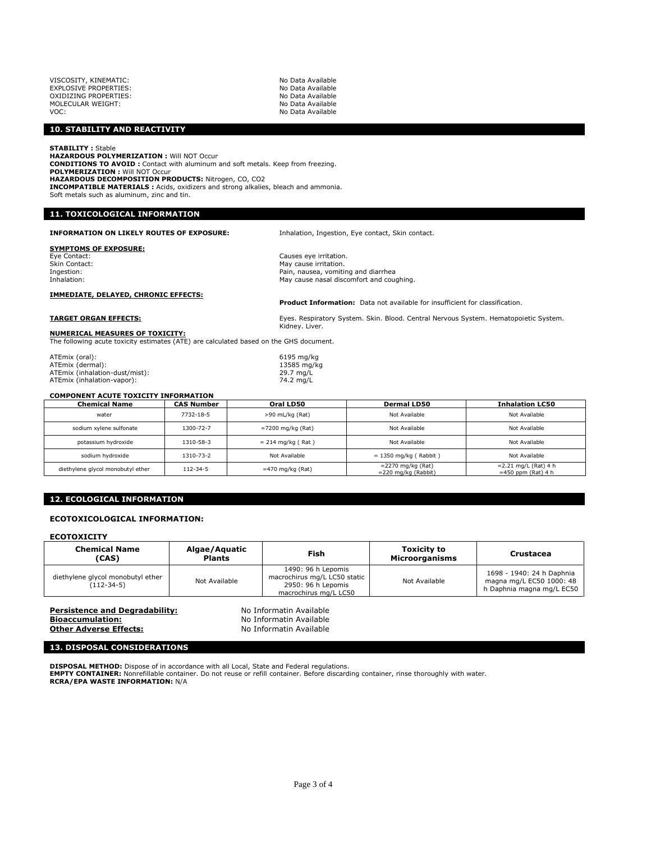| No Data Available |
|-------------------|
| No Data Available |
| No Data Available |
| No Data Available |
| No Data Available |
|                   |

#### **10. STABILITY AND REACTIVITY**

**STABILITY :** Stable

**HAZARDOUS POLYMERIZATION :** Will NOT Occur **CONDITIONS TO AVOID :** Contact with aluminum and soft metals. Keep from freezing. **POLYMERIZATION :** Will NOT Occur **HAZARDOUS DECOMPOSITION PRODUCTS:** Nitrogen, CO, CO2 **INCOMPATIBLE MATERIALS :** Acids, oxidizers and strong alkalies, bleach and ammonia. Soft metals such as aluminum, zinc and tin.

## **11. TOXICOLOGICAL INFORMATION**

#### **INFORMATION ON LIKELY ROUTES OF EXPOSURE:** Inhalation, Ingestion, Eye contact, Skin contact.

# **SYMPTOMS OF EXPOSURE:**<br>Eye Contact:<br>Skin Contact:

Skin Contact: The Contact: The Contact: The Contact: The Contact: The Contact: The Contact: The Contact: The Contact: The Contact: The Contact: The Contact: The Contact: The Contact: The Contact: The Contact: The Contact:

Causes eye irritation.

Ingestion: The Indian Communist Communist Communist Communist Communist Communist Communist Communist Communist Communist Communist Communist Communist Communist Communist Communist Communist Communist Communist Communist May cause nasal discomfort and coughing.

#### **IMMEDIATE, DELAYED, CHRONIC EFFECTS:**

**Product Information:** Data not available for insufficient for classification.

# **TARGET ORGAN EFFECTS:** Eyes. Respiratory System. Skin. Blood. Central Nervous System. Hematopoietic System.

Kidney. Liver.

#### **NUMERICAL MEASURES OF TOXICITY:** The following acute toxicity estimates (ATE) are calculated based on the GHS document.

ATEmix (oral): 6195 mg/kg ATEmix (dermal): 13585 mg/kg ATEmix (inhalation-dust/mist): 29.7 mg/L ATEmix (inhalation-vapor):  $74.2 \text{ mg/L}$ 

#### **COMPONENT ACUTE TOXICITY INFORMATION**

| <b>Chemical Name</b>              | <b>CAS Number</b> | Oral LD50            | <b>Dermal LD50</b>                             | <b>Inhalation LC50</b>                          |  |
|-----------------------------------|-------------------|----------------------|------------------------------------------------|-------------------------------------------------|--|
| water                             | 7732-18-5         | >90 mL/kg (Rat)      | Not Available                                  | Not Available                                   |  |
| sodium xylene sulfonate           | 1300-72-7         | $= 7200$ mg/kg (Rat) | Not Available                                  | Not Available                                   |  |
| potassium hydroxide               | 1310-58-3         | $= 214$ mg/kg (Rat)  | Not Available                                  | Not Available                                   |  |
| sodium hydroxide                  | 1310-73-2         | Not Available        | $= 1350$ mg/kg (Rabbit)                        | Not Available                                   |  |
| diethylene glycol monobutyl ether | 112-34-5          | $=470$ mg/kg (Rat)   | $=$ 2270 mg/kg (Rat)<br>$= 220$ mg/kg (Rabbit) | $= 2.21$ mg/L (Rat) 4 h<br>$=450$ ppm (Rat) 4 h |  |

#### **12. ECOLOGICAL INFORMATION**

#### **ECOTOXICOLOGICAL INFORMATION:**

#### **ECOTOXICITY**

| <b>Chemical Name</b><br>(CAS)                     | Algae/Aguatic<br><b>Plants</b> | Fish                                                                                              | <b>Toxicity to</b><br><b>Microorganisms</b> | Crustacea                                                                          |
|---------------------------------------------------|--------------------------------|---------------------------------------------------------------------------------------------------|---------------------------------------------|------------------------------------------------------------------------------------|
| diethylene glycol monobutyl ether<br>$(112-34-5)$ | Not Available                  | 1490: 96 h Lepomis<br>macrochirus mg/L LC50 static<br>2950: 96 h Lepomis<br>macrochirus mg/L LC50 | Not Available                               | 1698 - 1940: 24 h Daphnia<br>magna mg/L EC50 1000: 48<br>h Daphnia magna mg/L EC50 |

**Persistence and Degradability:** No Informatin Available **Bioaccumulation:** No Informatin Available<br> **Other Adverse Effects:** No Informatin Available **Other Adverse Effects:** 

#### **13. DISPOSAL CONSIDERATIONS**

DISPOSAL METHOD: Dispose of in accordance with all Local, State and Federal regulations.<br>EMPTY CONTAINER: Nonrefillable container. Do not reuse or refill container. Before discarding container, rinse thoroughly with water. **RCRA/EPA WASTE INFORMATION:** N/A